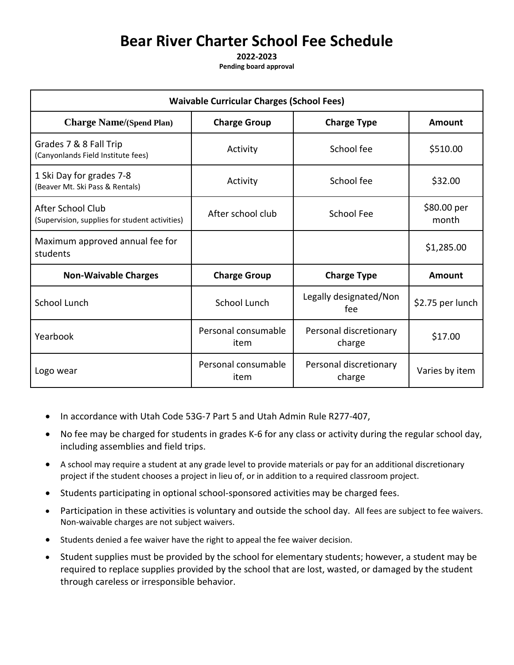# **Bear River Charter School Fee Schedule**

**2022-2023**

**Pending board approval**

| <b>Waivable Curricular Charges (School Fees)</b>                           |                             |                                  |                      |  |
|----------------------------------------------------------------------------|-----------------------------|----------------------------------|----------------------|--|
| <b>Charge Name/(Spend Plan)</b>                                            | <b>Charge Group</b>         | <b>Charge Type</b>               | Amount               |  |
| Grades 7 & 8 Fall Trip<br>(Canyonlands Field Institute fees)               | Activity                    | School fee                       | \$510.00             |  |
| 1 Ski Day for grades 7-8<br>(Beaver Mt. Ski Pass & Rentals)                | Activity                    | School fee                       | \$32.00              |  |
| <b>After School Club</b><br>(Supervision, supplies for student activities) | After school club           | School Fee                       | \$80.00 per<br>month |  |
| Maximum approved annual fee for<br>students                                |                             |                                  | \$1,285.00           |  |
| <b>Non-Waivable Charges</b>                                                | <b>Charge Group</b>         | <b>Charge Type</b>               | <b>Amount</b>        |  |
| <b>School Lunch</b>                                                        | School Lunch                | Legally designated/Non<br>fee    | \$2.75 per lunch     |  |
| Yearbook                                                                   | Personal consumable<br>item | Personal discretionary<br>charge | \$17.00              |  |
| Logo wear                                                                  | Personal consumable<br>item | Personal discretionary<br>charge | Varies by item       |  |

- In accordance with Utah Code 53G-7 Part 5 and Utah Admin Rule R277-407,
- No fee may be charged for students in grades K-6 for any class or activity during the regular school day, including assemblies and field trips.
- A school may require a student at any grade level to provide materials or pay for an additional discretionary project if the student chooses a project in lieu of, or in addition to a required classroom project.
- Students participating in optional school-sponsored activities may be charged fees.
- Participation in these activities is voluntary and outside the school day. All fees are subject to fee waivers. Non-waivable charges are not subject waivers.
- Students denied a fee waiver have the right to appeal the fee waiver decision.
- Student supplies must be provided by the school for elementary students; however, a student may be required to replace supplies provided by the school that are lost, wasted, or damaged by the student through careless or irresponsible behavior.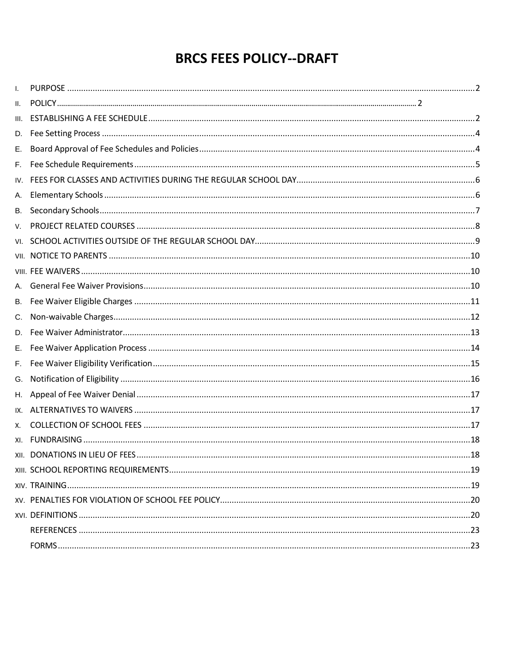# **BRCS FEES POLICY--DRAFT**

| Ι.   |  |
|------|--|
| ΙΙ.  |  |
| III. |  |
| D.   |  |
| Е.   |  |
| F.   |  |
| IV.  |  |
| А.   |  |
| В.   |  |
| V.   |  |
| VI.  |  |
|      |  |
|      |  |
|      |  |
| В.   |  |
| C.   |  |
| D.   |  |
| Е.   |  |
| F.   |  |
| G.   |  |
| Η.   |  |
| IX.  |  |
| Х.   |  |
| XI.  |  |
|      |  |
|      |  |
|      |  |
|      |  |
|      |  |
|      |  |
|      |  |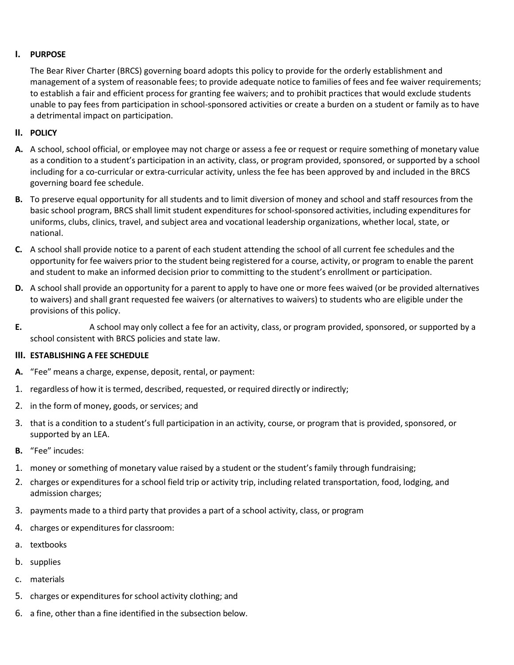### <span id="page-2-0"></span>**I. PURPOSE**

The Bear River Charter (BRCS) governing board adopts this policy to provide for the orderly establishment and management of a system of reasonable fees; to provide adequate notice to families of fees and fee waiver requirements; to establish a fair and efficient process for granting fee waivers; and to prohibit practices that would exclude students unable to pay fees from participation in school-sponsored activities or create a burden on a student or family as to have a detrimental impact on participation.

## <span id="page-2-1"></span>**II. POLICY**

- **A.** A school, school official, or employee may not charge or assess a fee or request or require something of monetary value as a condition to a student's participation in an activity, class, or program provided, sponsored, or supported by a school including for a co-curricular or extra-curricular activity, unless the fee has been approved by and included in the BRCS governing board fee schedule.
- **B.** To preserve equal opportunity for all students and to limit diversion of money and school and staff resources from the basic school program, BRCS shall limit student expenditures for school-sponsored activities, including expenditures for uniforms, clubs, clinics, travel, and subject area and vocational leadership organizations, whether local, state, or national.
- **C.** A school shall provide notice to a parent of each student attending the school of all current fee schedules and the opportunity for fee waivers prior to the student being registered for a course, activity, or program to enable the parent and student to make an informed decision prior to committing to the student's enrollment or participation.
- **D.** A school shall provide an opportunity for a parent to apply to have one or more fees waived (or be provided alternatives to waivers) and shall grant requested fee waivers (or alternatives to waivers) to students who are eligible under the provisions of this policy.
- **E.** A school may only collect a fee for an activity, class, or program provided, sponsored, or supported by a school consistent with BRCS policies and state law.

### <span id="page-2-2"></span>**III. ESTABLISHING A FEE SCHEDULE**

- **A.** "Fee" means a charge, expense, deposit, rental, or payment:
- 1. regardless of how it is termed, described, requested, or required directly or indirectly;
- 2. in the form of money, goods, or services; and
- 3. that is a condition to a student's full participation in an activity, course, or program that is provided, sponsored, or supported by an LEA.
- **B.** "Fee" incudes:
- 1. money or something of monetary value raised by a student or the student's family through fundraising;
- 2. charges or expenditures for a school field trip or activity trip, including related transportation, food, lodging, and admission charges;
- 3. payments made to a third party that provides a part of a school activity, class, or program
- 4. charges or expenditures for classroom:
- a. textbooks
- b. supplies
- c. materials
- 5. charges or expenditures for school activity clothing; and
- 6. a fine, other than a fine identified in the subsection below.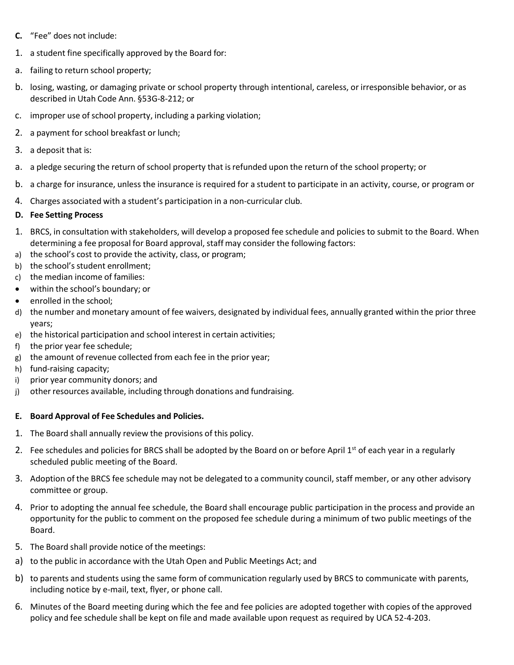- **C.** "Fee" does not include:
- 1. a student fine specifically approved by the Board for:
- a. failing to return school property;
- b. losing, wasting, or damaging private or school property through intentional, careless, or irresponsible behavior, or as described in Utah Code Ann. §53G-8-212; or
- c. improper use of school property, including a parking violation;
- 2. a payment for school breakfast or lunch;
- 3. a deposit that is:
- a. a pledge securing the return of school property that is refunded upon the return of the school property; or
- b. a charge for insurance, unless the insurance is required for a student to participate in an activity, course, or program or
- 4. Charges associated with a student's participation in a non-curricular club.

## **D. Fee Setting Process**

- 1. BRCS, in consultation with stakeholders, will develop a proposed fee schedule and policies to submit to the Board. When determining a fee proposal for Board approval, staff may consider the following factors:
- a) the school's cost to provide the activity, class, or program;
- b) the school's student enrollment;
- c) the median income of families:
- within the school's boundary; or
- enrolled in the school;
- d) the number and monetary amount of fee waivers, designated by individual fees, annually granted within the prior three years;
- e) the historical participation and school interest in certain activities;
- f) the prior year fee schedule;
- g) the amount of revenue collected from each fee in the prior year;
- h) fund-raising capacity;
- i) prior year community donors; and
- j) other resources available, including through donations and fundraising.

### <span id="page-3-0"></span>**E. Board Approval of Fee Schedules and Policies.**

- 1. The Board shall annually review the provisions of this policy.
- 2. Fee schedules and policies for BRCS shall be adopted by the Board on or before April 1<sup>st</sup> of each year in a regularly scheduled public meeting of the Board.
- 3. Adoption of the BRCS fee schedule may not be delegated to a community council, staff member, or any other advisory committee or group.
- 4. Prior to adopting the annual fee schedule, the Board shall encourage public participation in the process and provide an opportunity for the public to comment on the proposed fee schedule during a minimum of two public meetings of the Board.
- 5. The Board shall provide notice of the meetings:
- a) to the public in accordance with the Utah Open and Public Meetings Act; and
- b) to parents and students using the same form of communication regularly used by BRCS to communicate with parents, including notice by e-mail, text, flyer, or phone call.
- 6. Minutes of the Board meeting during which the fee and fee policies are adopted together with copies of the approved policy and fee schedule shall be kept on file and made available upon request as required by UCA 52-4-203.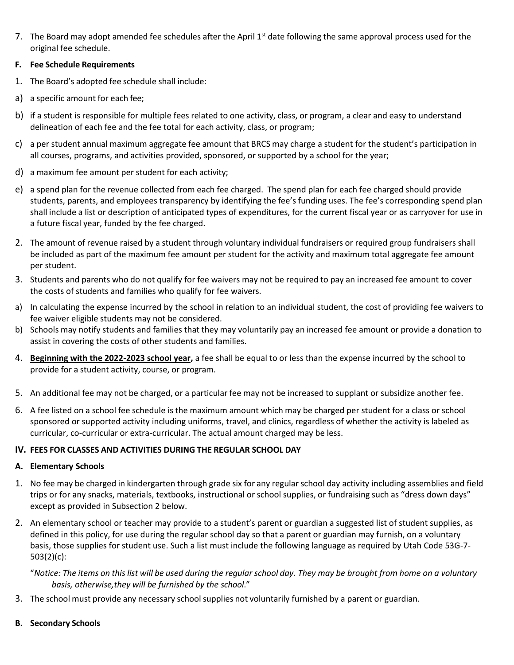7. The Board may adopt amended fee schedules after the April 1<sup>st</sup> date following the same approval process used for the original fee schedule.

## <span id="page-4-0"></span>**F. Fee Schedule Requirements**

- 1. The Board's adopted fee schedule shall include:
- a) a specific amount for each fee;
- b) if a student is responsible for multiple fees related to one activity, class, or program, a clear and easy to understand delineation of each fee and the fee total for each activity, class, or program;
- c) a per student annual maximum aggregate fee amount that BRCS may charge a student for the student's participation in all courses, programs, and activities provided, sponsored, or supported by a school for the year;
- d) a maximum fee amount per student for each activity;
- e) a spend plan for the revenue collected from each fee charged. The spend plan for each fee charged should provide students, parents, and employees transparency by identifying the fee's funding uses. The fee's corresponding spend plan shall include a list or description of anticipated types of expenditures, for the current fiscal year or as carryover for use in a future fiscal year, funded by the fee charged.
- 2. The amount of revenue raised by a student through voluntary individual fundraisers or required group fundraisers shall be included as part of the maximum fee amount per student for the activity and maximum total aggregate fee amount per student.
- 3. Students and parents who do not qualify for fee waivers may not be required to pay an increased fee amount to cover the costs of students and families who qualify for fee waivers.
- a) In calculating the expense incurred by the school in relation to an individual student, the cost of providing fee waivers to fee waiver eligible students may not be considered.
- b) Schools may notify students and families that they may voluntarily pay an increased fee amount or provide a donation to assist in covering the costs of other students and families.
- 4. **Beginning with the 2022-2023 school year,** a fee shall be equal to or less than the expense incurred by the school to provide for a student activity, course, or program.
- 5. An additional fee may not be charged, or a particular fee may not be increased to supplant or subsidize another fee.
- 6. A fee listed on a school fee schedule is the maximum amount which may be charged per student for a class or school sponsored or supported activity including uniforms, travel, and clinics, regardless of whether the activity is labeled as curricular, co-curricular or extra-curricular. The actual amount charged may be less.

# <span id="page-4-1"></span>**IV. FEES FOR CLASSES AND ACTIVITIES DURING THE REGULAR SCHOOL DAY**

### <span id="page-4-2"></span>**A. Elementary Schools**

- 1. No fee may be charged in kindergarten through grade six for any regularschool day activity including assemblies and field trips or for any snacks, materials, textbooks, instructional or school supplies, or fundraising such as "dress down days" except as provided in Subsection 2 below.
- 2. An elementary school or teacher may provide to a student's parent or guardian a suggested list of student supplies, as defined in this policy, for use during the regular school day so that a parent or guardian may furnish, on a voluntary basis, those supplies for student use. Such a list must include the following language as required by Utah Code 53G-7- 503(2)(c):

"*Notice: The items on this list will be used during the regular school day. They may be brought from home on a voluntary basis, otherwise,they will be furnished by the school*."

<span id="page-4-3"></span>3. The school must provide any necessary school supplies not voluntarily furnished by a parent or guardian.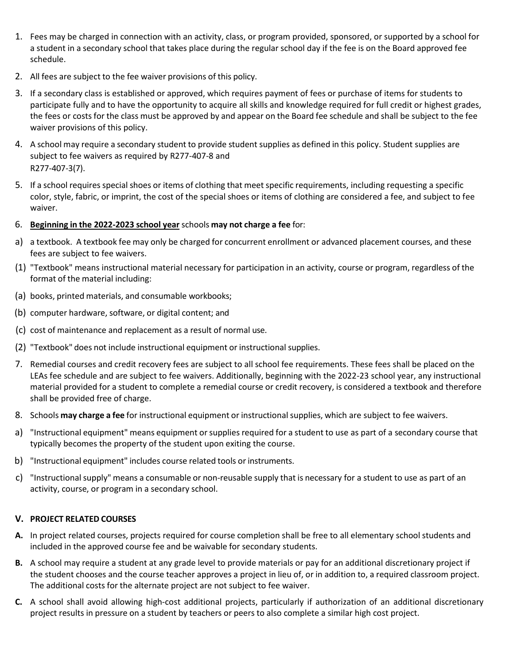- 1. Fees may be charged in connection with an activity, class, or program provided, sponsored, or supported by a school for a student in a secondary school that takes place during the regular school day if the fee is on the Board approved fee schedule.
- 2. All fees are subject to the fee waiver provisions of this policy.
- 3. If a secondary class is established or approved, which requires payment of fees or purchase of items for students to participate fully and to have the opportunity to acquire all skills and knowledge required for full credit or highest grades, the fees or costs for the class must be approved by and appear on the Board fee schedule and shall be subject to the fee waiver provisions of this policy.
- 4. A school may require a secondary student to provide student supplies as defined in this policy. Student supplies are subject to fee waivers as required by R277-407-8 and R277-407-3(7).
- 5. If a school requires special shoes or items of clothing that meet specific requirements, including requesting a specific color, style, fabric, or imprint, the cost of the special shoes or items of clothing are considered a fee, and subject to fee waiver.
- 6. **Beginning in the 2022-2023 school year** schools **may not charge a fee** for:
- a) a textbook. A textbook fee may only be charged for concurrent enrollment or advanced placement courses, and these fees are subject to fee waivers.
- (1) "Textbook" means instructional material necessary for participation in an activity, course or program, regardless of the format of the material including:
- (a) books, printed materials, and consumable workbooks;
- (b) computer hardware, software, or digital content; and
- (c) cost of maintenance and replacement as a result of normal use.
- (2) "Textbook" does not include instructional equipment or instructional supplies.
- 7. Remedial courses and credit recovery fees are subject to all school fee requirements. These fees shall be placed on the LEAs fee schedule and are subject to fee waivers. Additionally, beginning with the 2022-23 school year, any instructional material provided for a student to complete a remedial course or credit recovery, is considered a textbook and therefore shall be provided free of charge.
- 8. Schools **may charge a fee** for instructional equipment or instructionalsupplies, which are subject to fee waivers.
- a) "Instructional equipment" means equipment orsupplies required for a student to use as part of a secondary course that typically becomes the property of the student upon exiting the course.
- b) "Instructional equipment" includes course related tools or instruments.
- c) "Instructional supply" means a consumable or non-reusable supply that is necessary for a student to use as part of an activity, course, or program in a secondary school.

# <span id="page-5-0"></span>**V. PROJECT RELATED COURSES**

- **A.** In project related courses, projects required for course completion shall be free to all elementary school students and included in the approved course fee and be waivable for secondary students.
- **B.** A school may require a student at any grade level to provide materials or pay for an additional discretionary project if the student chooses and the course teacher approves a project in lieu of, or in addition to, a required classroom project. The additional costs for the alternate project are not subject to fee waiver.
- **C.** A school shall avoid allowing high-cost additional projects, particularly if authorization of an additional discretionary project results in pressure on a student by teachers or peers to also complete a similar high cost project.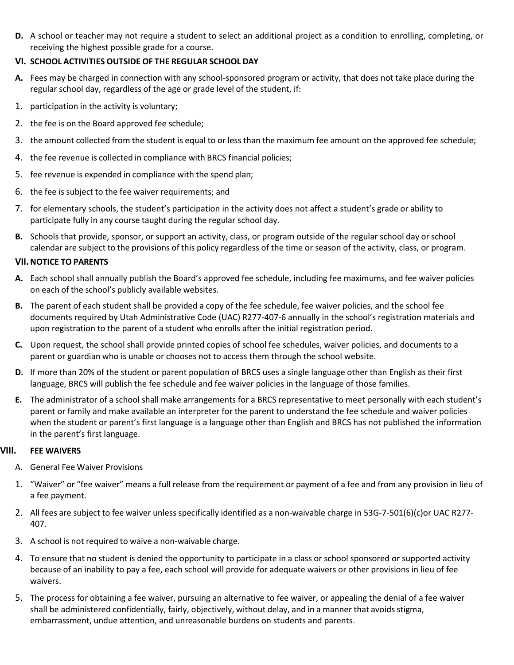**D.** A school or teacher may not require a student to select an additional project as a condition to enrolling, completing, or receiving the highest possible grade for a course.

## **VI. SCHOOL ACTIVITIES OUTSIDE OF THE REGULAR SCHOOL DAY**

- **A.** Fees may be charged in connection with any school-sponsored program or activity, that does not take place during the regular school day, regardless of the age or grade level of the student, if:
- 1. participation in the activity is voluntary;
- 2. the fee is on the Board approved fee schedule;
- 3. the amount collected from the student is equal to or less than the maximum fee amount on the approved fee schedule;
- 4. the fee revenue is collected in compliance with BRCS financial policies;
- 5. fee revenue is expended in compliance with the spend plan;
- 6. the fee is subject to the fee waiver requirements; and
- 7. for elementary schools, the student's participation in the activity does not affect a student's grade or ability to participate fully in any course taught during the regular school day.
- **B.** Schools that provide, sponsor, or support an activity, class, or program outside of the regular school day or school calendar are subject to the provisions of this policy regardless of the time or season of the activity, class, or program.

### **VII.NOTICE TO PARENTS**

- **A.** Each school shall annually publish the Board's approved fee schedule, including fee maximums, and fee waiver policies on each of the school's publicly available websites.
- **B.** The parent of each student shall be provided a copy of the fee schedule, fee waiver policies, and the school fee documents required by Utah Administrative Code (UAC) R277-407-6 annually in the school's registration materials and upon registration to the parent of a student who enrolls after the initial registration period.
- **C.** Upon request, the school shall provide printed copies of school fee schedules, waiver policies, and documents to a parent or guardian who is unable or chooses not to access them through the school website.
- **D.** If more than 20% of the student or parent population of BRCS uses a single language other than English as their first language, BRCS will publish the fee schedule and fee waiver policies in the language of those families.
- **E.** The administrator of a school shall make arrangements for a BRCS representative to meet personally with each student's parent or family and make available an interpreter for the parent to understand the fee schedule and waiver policies when the student or parent's first language is a language other than English and BRCS has not published the information in the parent's first language.

### **VIII. FEE WAIVERS**

- <span id="page-6-1"></span><span id="page-6-0"></span>A. General Fee Waiver Provisions
- 1. "Waiver" or "fee waiver" means a full release from the requirement or payment of a fee and from any provision in lieu of a fee payment.
- 2. All fees are subject to fee waiver unless specifically identified as a non-waivable charge in 53G-7-501(6)(c)or UAC R277- 407.
- 3. A school is not required to waive a non-waivable charge.
- 4. To ensure that no student is denied the opportunity to participate in a class or school sponsored or supported activity because of an inability to pay a fee, each school will provide for adequate waivers or other provisions in lieu of fee waivers.
- 5. The process for obtaining a fee waiver, pursuing an alternative to fee waiver, or appealing the denial of a fee waiver shall be administered confidentially, fairly, objectively, without delay, and in a manner that avoidsstigma, embarrassment, undue attention, and unreasonable burdens on students and parents.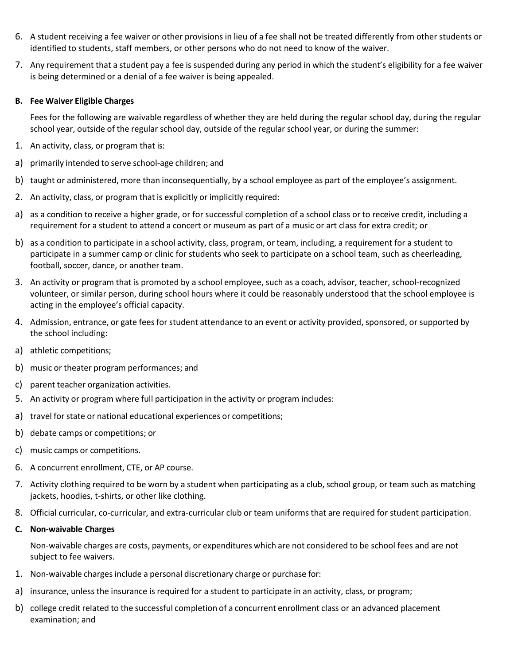- 6. A student receiving a fee waiver or other provisions in lieu of a fee shall not be treated differently from other students or identified to students, staff members, or other persons who do not need to know of the waiver.
- 7. Any requirement that a student pay a fee is suspended during any period in which the student's eligibility for a fee waiver is being determined or a denial of a fee waiver is being appealed.

#### **B. Fee Waiver Eligible Charges**

Fees for the following are waivable regardless of whether they are held during the regular school day, during the regular school year, outside of the regular school day, outside of the regular school year, or during the summer:

- 1. An activity, class, or program that is:
- a) primarily intended to serve school-age children; and
- b) taught or administered, more than inconsequentially, by a school employee as part of the employee's assignment.
- 2. An activity, class, or program that is explicitly or implicitly required:
- a) as a condition to receive a higher grade, or for successful completion of a school class or to receive credit, including a requirement for a student to attend a concert or museum as part of a music or art class for extra credit; or
- b) as a condition to participate in a school activity, class, program, or team, including, a requirement for a student to participate in a summer camp or clinic for students who seek to participate on a school team, such as cheerleading, football, soccer, dance, or another team.
- 3. An activity or program that is promoted by a school employee, such as a coach, advisor, teacher, school-recognized volunteer, or similar person, during school hours where it could be reasonably understood that the school employee is acting in the employee's official capacity.
- 4. Admission, entrance, or gate fees for student attendance to an event or activity provided, sponsored, or supported by the school including:
- a) athletic competitions;
- b) music or theater program performances; and
- c) parent teacher organization activities.
- 5. An activity or program where full participation in the activity or program includes:
- a) travel for state or national educational experiences or competitions;
- b) debate camps or competitions; or
- c) music camps or competitions.
- 6. A concurrent enrollment, CTE, or AP course.
- 7. Activity clothing required to be worn by a student when participating as a club, school group, or team such as matching jackets, hoodies, t-shirts, or other like clothing.
- 8. Official curricular, co-curricular, and extra-curricular club or team uniforms that are required for student participation.
- <span id="page-7-0"></span>**C. Non-waivable Charges**

Non-waivable charges are costs, payments, or expenditures which are not considered to be school fees and are not subject to fee waivers.

- 1. Non-waivable charges include a personal discretionary charge or purchase for:
- a) insurance, unless the insurance is required for a student to participate in an activity, class, or program;
- b) college credit related to the successful completion of a concurrent enrollment class or an advanced placement examination; and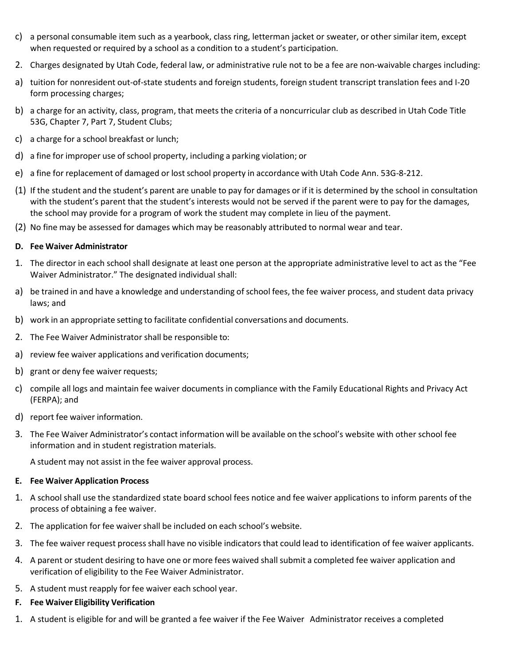- c) a personal consumable item such as a yearbook, class ring, letterman jacket or sweater, or other similar item, except when requested or required by a school as a condition to a student's participation.
- 2. Charges designated by Utah Code, federal law, or administrative rule not to be a fee are non-waivable charges including:
- a) tuition for nonresident out-of-state students and foreign students, foreign student transcript translation fees and I-20 form processing charges;
- b) a charge for an activity, class, program, that meets the criteria of a noncurricular club as described in Utah Code Title 53G, Chapter 7, Part 7, Student Clubs;
- c) a charge for a school breakfast or lunch;
- d) a fine for improper use of school property, including a parking violation; or
- e) a fine for replacement of damaged or lost school property in accordance with Utah Code Ann. 53G-8-212.
- (1) If the student and the student's parent are unable to pay for damages or if it is determined by the school in consultation with the student's parent that the student's interests would not be served if the parent were to pay for the damages, the school may provide for a program of work the student may complete in lieu of the payment.
- (2) No fine may be assessed for damages which may be reasonably attributed to normal wear and tear.

### <span id="page-8-0"></span>**D. Fee Waiver Administrator**

- 1. The director in each school shall designate at least one person at the appropriate administrative level to act as the "Fee Waiver Administrator." The designated individual shall:
- a) be trained in and have a knowledge and understanding of school fees, the fee waiver process, and student data privacy laws; and
- b) work in an appropriate setting to facilitate confidential conversations and documents.
- 2. The Fee Waiver Administrator shall be responsible to:
- a) review fee waiver applications and verification documents;
- b) grant or deny fee waiver requests;
- c) compile all logs and maintain fee waiver documents in compliance with the Family Educational Rights and Privacy Act (FERPA); and
- d) report fee waiver information.
- 3. The Fee Waiver Administrator's contact information will be available on the school's website with other school fee information and in student registration materials.

<span id="page-8-1"></span>A student may not assist in the fee waiver approval process.

### **E. Fee Waiver Application Process**

- 1. A school shall use the standardized state board school fees notice and fee waiver applications to inform parents of the process of obtaining a fee waiver.
- 2. The application for fee waiver shall be included on each school's website.
- 3. The fee waiver request process shall have no visible indicators that could lead to identification of fee waiver applicants.
- 4. A parent or student desiring to have one or more fees waived shall submit a completed fee waiver application and verification of eligibility to the Fee Waiver Administrator.
- 5. A student must reapply for fee waiver each school year.
- **F. Fee Waiver Eligibility Verification**
- 1. A student is eligible for and will be granted a fee waiver if the Fee Waiver Administrator receives a completed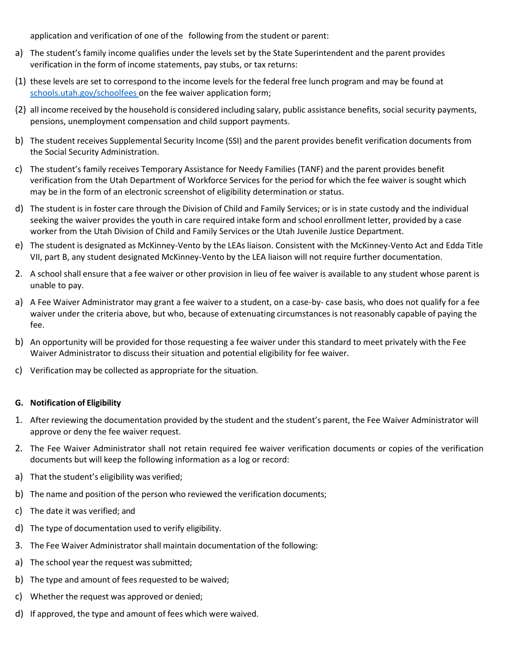application and verification of one of the following from the student or parent:

- a) The student's family income qualifies under the levels set by the State Superintendent and the parent provides verification in the form of income statements, pay stubs, or tax returns:
- (1) these levels are set to correspond to the income levels for the federal free lunch program and may be found at [schools.utah.gov/schoolfees o](https://www.schools.utah.gov/schoolfees)n the fee waiver application form;
- (2) all income received by the household is considered including salary, public assistance benefits, social security payments, pensions, unemployment compensation and child support payments.
- b) The student receives Supplemental Security Income (SSI) and the parent provides benefit verification documents from the Social Security Administration.
- c) The student's family receives Temporary Assistance for Needy Families (TANF) and the parent provides benefit verification from the Utah Department of Workforce Services for the period for which the fee waiver is sought which may be in the form of an electronic screenshot of eligibility determination or status.
- d) The student is in foster care through the Division of Child and Family Services; or is in state custody and the individual seeking the waiver provides the youth in care required intake form and school enrollment letter, provided by a case worker from the Utah Division of Child and Family Services or the Utah Juvenile Justice Department.
- e) The student is designated as McKinney-Vento by the LEAs liaison. Consistent with the McKinney-Vento Act and Edda Title VII, part B, any student designated McKinney-Vento by the LEA liaison will not require further documentation.
- 2. A school shall ensure that a fee waiver or other provision in lieu of fee waiver is available to any student whose parent is unable to pay.
- a) A Fee Waiver Administrator may grant a fee waiver to a student, on a case-by- case basis, who does not qualify for a fee waiver under the criteria above, but who, because of extenuating circumstancesis not reasonably capable of paying the fee.
- b) An opportunity will be provided for those requesting a fee waiver under this standard to meet privately with the Fee Waiver Administrator to discuss their situation and potential eligibility for fee waiver.
- c) Verification may be collected as appropriate for the situation.

#### <span id="page-9-0"></span>**G. Notification of Eligibility**

- 1. After reviewing the documentation provided by the student and the student's parent, the Fee Waiver Administrator will approve or deny the fee waiver request.
- 2. The Fee Waiver Administrator shall not retain required fee waiver verification documents or copies of the verification documents but will keep the following information as a log or record:
- a) That the student's eligibility was verified;
- b) The name and position of the person who reviewed the verification documents;
- c) The date it was verified; and
- d) The type of documentation used to verify eligibility.
- 3. The Fee Waiver Administrator shall maintain documentation of the following:
- a) The school year the request was submitted;
- b) The type and amount of fees requested to be waived;
- c) Whether the request was approved or denied;
- d) If approved, the type and amount of fees which were waived.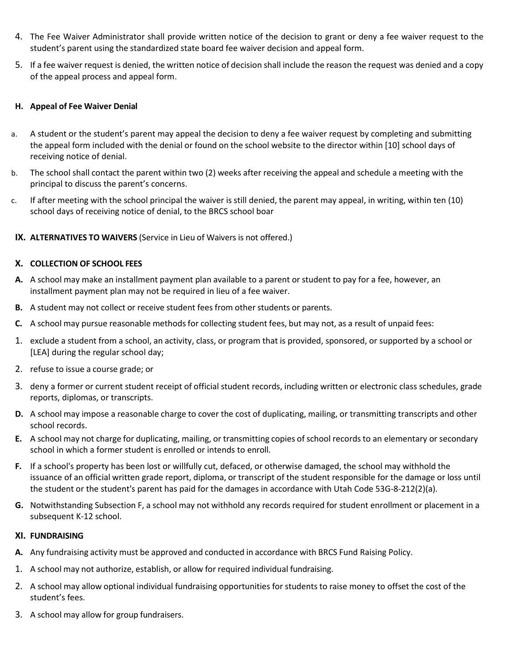- 4. The Fee Waiver Administrator shall provide written notice of the decision to grant or deny a fee waiver request to the student's parent using the standardized state board fee waiver decision and appeal form.
- 5. If a fee waiver request is denied, the written notice of decision shall include the reason the request was denied and a copy of the appeal process and appeal form.

## <span id="page-10-0"></span>**H. Appeal of Fee Waiver Denial**

- a. A student or the student's parent may appeal the decision to deny a fee waiver request by completing and submitting the appeal form included with the denial or found on the school website to the director within [10] school days of receiving notice of denial.
- b. The school shall contact the parent within two (2) weeks after receiving the appeal and schedule a meeting with the principal to discuss the parent's concerns.
- c. If after meeting with the school principal the waiver is still denied, the parent may appeal, in writing, within ten (10) school days of receiving notice of denial, to the BRCS school boar
- **IX. ALTERNATIVES TO WAIVERS** (Service in Lieu of Waivers is not offered.)

## <span id="page-10-1"></span>**X. COLLECTION OF SCHOOL FEES**

- **A.** A school may make an installment payment plan available to a parent or student to pay for a fee, however, an installment payment plan may not be required in lieu of a fee waiver.
- **B.** A student may not collect or receive student fees from other students or parents.
- **C.** A school may pursue reasonable methods for collecting student fees, but may not, as a result of unpaid fees:
- 1. exclude a student from a school, an activity, class, or program that is provided, sponsored, or supported by a school or [LEA] during the regular school day;
- 2. refuse to issue a course grade; or
- 3. deny a former or current student receipt of official student records, including written or electronic class schedules, grade reports, diplomas, or transcripts.
- **D.** A school may impose a reasonable charge to cover the cost of duplicating, mailing, or transmitting transcripts and other school records.
- **E.** A school may not charge for duplicating, mailing, or transmitting copies of school recordsto an elementary or secondary school in which a former student is enrolled or intends to enroll.
- **F.** If a school's property has been lost or willfully cut, defaced, or otherwise damaged, the school may withhold the issuance of an official written grade report, diploma, or transcript of the student responsible for the damage or loss until the student or the student's parent has paid for the damages in accordance with Utah Code 53G-8-212(2)(a).
- **G.** Notwithstanding Subsection F, a school may not withhold any records required for student enrollment or placement in a subsequent K-12 school.

### <span id="page-10-2"></span>**XI. FUNDRAISING**

- **A.** Any fundraising activity must be approved and conducted in accordance with BRCS Fund Raising Policy.
- 1. A school may not authorize, establish, or allow for required individual fundraising.
- 2. A school may allow optional individual fundraising opportunities for students to raise money to offset the cost of the student's fees.
- 3. A school may allow for group fundraisers.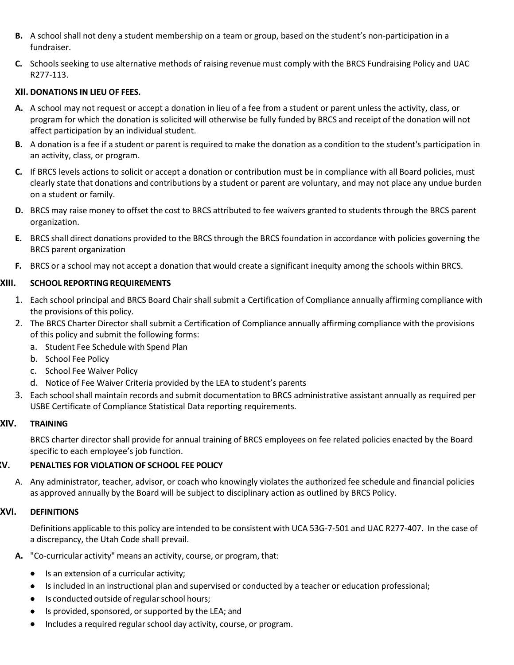- **B.** A school shall not deny a student membership on a team or group, based on the student's non-participation in a fundraiser.
- **C.** Schools seeking to use alternative methods of raising revenue must comply with the BRCS Fundraising Policy and UAC R277-113.

## <span id="page-11-0"></span>**XII. DONATIONS IN LIEU OF FEES.**

- **A.** A school may not request or accept a donation in lieu of a fee from a student or parent unless the activity, class, or program for which the donation is solicited will otherwise be fully funded by BRCS and receipt of the donation will not affect participation by an individual student.
- **B.** A donation is a fee if a student or parent is required to make the donation as a condition to the student's participation in an activity, class, or program.
- **C.** If BRCS levels actions to solicit or accept a donation or contribution must be in compliance with all Board policies, must clearly state that donations and contributions by a student or parent are voluntary, and may not place any undue burden on a student or family.
- **D.** BRCS may raise money to offset the cost to BRCS attributed to fee waivers granted to students through the BRCS parent organization.
- **E.** BRCS shall direct donations provided to the BRCS through the BRCS foundation in accordance with policies governing the BRCS parent organization
- <span id="page-11-1"></span>**F.** BRCS or a school may not accept a donation that would create a significant inequity among the schools within BRCS.

### **XIII. SCHOOL REPORTING REQUIREMENTS**

- 1. Each school principal and BRCS Board Chair shall submit a Certification of Compliance annually affirming compliance with the provisions of this policy.
- 2. The BRCS Charter Director shall submit a Certification of Compliance annually affirming compliance with the provisions of this policy and submit the following forms:
	- a. Student Fee Schedule with Spend Plan
	- b. School Fee Policy
	- c. School Fee Waiver Policy
	- d. Notice of Fee Waiver Criteria provided by the LEA to student's parents
- 3. Each schoolshall maintain records and submit documentation to BRCS administrative assistant annually as required per USBE Certificate of Compliance Statistical Data reporting requirements.

### **XIV. TRAINING**

<span id="page-11-3"></span><span id="page-11-2"></span>BRCS charter director shall provide for annual training of BRCS employees on fee related policies enacted by the Board specific to each employee's job function.

### **XV. PENALTIES FOR VIOLATION OF SCHOOL FEE POLICY**

A. Any administrator, teacher, advisor, or coach who knowingly violates the authorized fee schedule and financial policies as approved annually by the Board will be subject to disciplinary action as outlined by BRCS Policy.

#### **XVI. DEFINITIONS**

<span id="page-11-4"></span>Definitions applicable to this policy are intended to be consistent with UCA 53G-7-501 and UAC R277-407. In the case of a discrepancy, the Utah Code shall prevail.

- **A.** "Co-curricular activity" means an activity, course, or program, that:
	- Is an extension of a curricular activity;
	- Is included in an instructional plan and supervised or conducted by a teacher or education professional;
	- Is conducted outside of regular school hours;
	- Is provided, sponsored, or supported by the LEA; and
	- Includes a required regular school day activity, course, or program.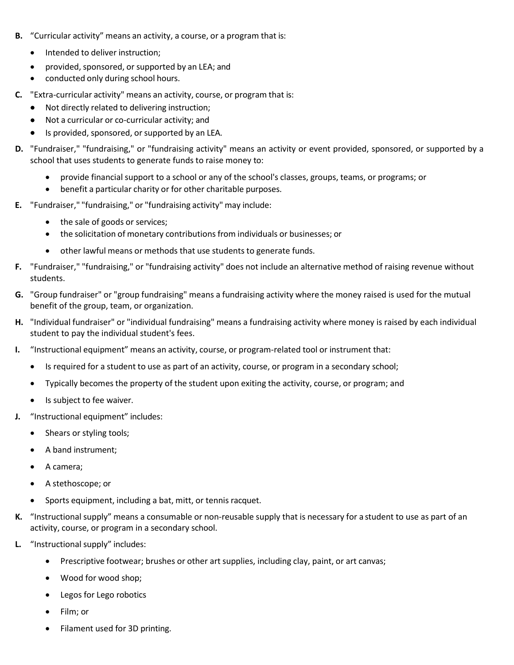- **B.** "Curricular activity" means an activity, a course, or a program that is:
	- Intended to deliver instruction;
	- provided, sponsored, or supported by an LEA; and
	- conducted only during school hours.
- **C.** "Extra-curricular activity" means an activity, course, or program that is:
	- Not directly related to delivering instruction;
	- Not a curricular or co-curricular activity; and
	- Is provided, sponsored, or supported by an LEA.
- **D.** "Fundraiser," "fundraising," or "fundraising activity" means an activity or event provided, sponsored, or supported by a school that uses students to generate funds to raise money to:
	- provide financial support to a school or any of the school's classes, groups, teams, or programs; or
	- benefit a particular charity or for other charitable purposes.
- **E.** "Fundraiser," "fundraising," or "fundraising activity" may include:
	- the sale of goods or services;
	- the solicitation of monetary contributions from individuals or businesses; or
	- other lawful means or methods that use students to generate funds.
- **F.** "Fundraiser," "fundraising," or "fundraising activity" does not include an alternative method of raising revenue without students.
- **G.** "Group fundraiser" or "group fundraising" means a fundraising activity where the money raised is used for the mutual benefit of the group, team, or organization.
- **H.** "Individual fundraiser" or "individual fundraising" means a fundraising activity where money is raised by each individual student to pay the individual student's fees.
- **I.** "Instructional equipment" means an activity, course, or program-related tool or instrument that:
	- Is required for a student to use as part of an activity, course, or program in a secondary school;
	- Typically becomes the property of the student upon exiting the activity, course, or program; and
	- Is subject to fee waiver.
- **J.** "Instructional equipment" includes:
	- Shears or styling tools;
	- A band instrument;
	- A camera;
	- A stethoscope; or
	- Sports equipment, including a bat, mitt, or tennis racquet.
- **K.** "Instructional supply" means a consumable or non-reusable supply that is necessary for a student to use as part of an activity, course, or program in a secondary school.
- **L.** "Instructional supply" includes:
	- Prescriptive footwear; brushes or other art supplies, including clay, paint, or art canvas;
	- Wood for wood shop;
	- Legos for Lego robotics
	- Film; or
	- Filament used for 3D printing.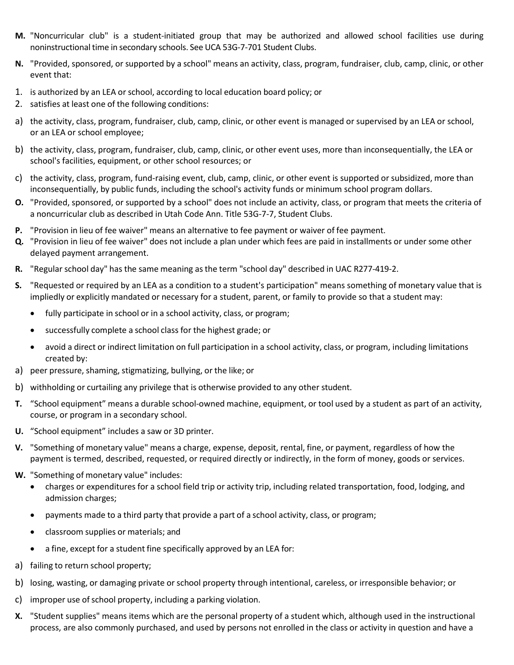- **M.** "Noncurricular club" is a student-initiated group that may be authorized and allowed school facilities use during noninstructional time in secondary schools. See UCA 53G-7-701 Student Clubs.
- **N.** "Provided, sponsored, or supported by a school" means an activity, class, program, fundraiser, club, camp, clinic, or other event that:
- 1. is authorized by an LEA or school, according to local education board policy; or
- 2. satisfies at least one of the following conditions:
- a) the activity, class, program, fundraiser, club, camp, clinic, or other event is managed or supervised by an LEA or school, or an LEA or school employee;
- b) the activity, class, program, fundraiser, club, camp, clinic, or other event uses, more than inconsequentially, the LEA or school's facilities, equipment, or other school resources; or
- c) the activity, class, program, fund-raising event, club, camp, clinic, or other event is supported or subsidized, more than inconsequentially, by public funds, including the school's activity funds or minimum school program dollars.
- **O.** "Provided, sponsored, or supported by a school" does not include an activity, class, or program that meets the criteria of a noncurricular club as described in Utah Code Ann. Title 53G-7-7, Student Clubs.
- **P.** "Provision in lieu of fee waiver" means an alternative to fee payment or waiver of fee payment.
- **Q.** "Provision in lieu of fee waiver" does not include a plan under which fees are paid in installments or under some other delayed payment arrangement.
- **R.** "Regular school day" has the same meaning as the term "school day" described in UAC R277-419-2.
- **S.** "Requested or required by an LEA as a condition to a student's participation" means something of monetary value that is impliedly or explicitly mandated or necessary for a student, parent, or family to provide so that a student may:
	- fully participate in school or in a school activity, class, or program;
	- successfully complete a school class for the highest grade; or
	- avoid a direct or indirect limitation on full participation in a school activity, class, or program, including limitations created by:
- a) peer pressure, shaming, stigmatizing, bullying, or the like; or
- b) withholding or curtailing any privilege that is otherwise provided to any other student.
- **T.** "School equipment" means a durable school-owned machine, equipment, or tool used by a student as part of an activity, course, or program in a secondary school.
- **U.** "School equipment" includes a saw or 3D printer.
- **V.** "Something of monetary value" means a charge, expense, deposit, rental, fine, or payment, regardless of how the payment is termed, described, requested, or required directly or indirectly, in the form of money, goods or services.
- **W.** "Something of monetary value" includes:
	- charges or expenditures for a school field trip or activity trip, including related transportation, food, lodging, and admission charges;
	- payments made to a third party that provide a part of a school activity, class, or program;
	- classroom supplies or materials; and
	- a fine, except for a student fine specifically approved by an LEA for:
- a) failing to return school property;
- b) losing, wasting, or damaging private or school property through intentional, careless, or irresponsible behavior; or
- c) improper use of school property, including a parking violation.
- **X.** "Student supplies" means items which are the personal property of a student which, although used in the instructional process, are also commonly purchased, and used by persons not enrolled in the class or activity in question and have a